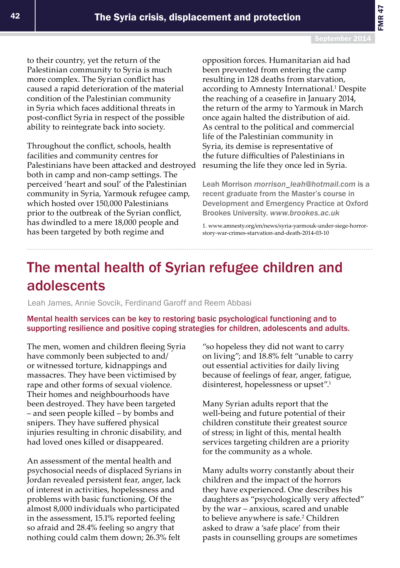## The mental health of Syrian refugee children and adolescents

Leah James, Annie Sovcik, Ferdinand Garoff and Reem Abbasi

## Mental health services can be key to restoring basic psychological functioning and to supporting resilience and positive coping strategies for children, adolescents and adults.

The men, women and children fleeing Syria have commonly been subjected to and/ or witnessed torture, kidnappings and massacres. They have been victimised by rape and other forms of sexual violence. Their homes and neighbourhoods have been destroyed. They have been targeted – and seen people killed – by bombs and snipers. They have suffered physical injuries resulting in chronic disability, and had loved ones killed or disappeared.

An assessment of the mental health and psychosocial needs of displaced Syrians in Jordan revealed persistent fear, anger, lack of interest in activities, hopelessness and problems with basic functioning. Of the almost 8,000 individuals who participated in the assessment, 15.1% reported feeling so afraid and 28.4% feeling so angry that nothing could calm them down; 26.3% felt

"so hopeless they did not want to carry on living"; and 18.8% felt "unable to carry out essential activities for daily living because of feelings of fear, anger, fatigue, disinterest, hopelessness or upset".1

Many Syrian adults report that the well-being and future potential of their children constitute their greatest source of stress; in light of this, mental health services targeting children are a priority for the community as a whole.

Many adults worry constantly about their children and the impact of the horrors they have experienced. One describes his daughters as "psychologically very affected" by the war – anxious, scared and unable to believe anywhere is safe.<sup>2</sup> Children asked to draw a 'safe place' from their pasts in counselling groups are sometimes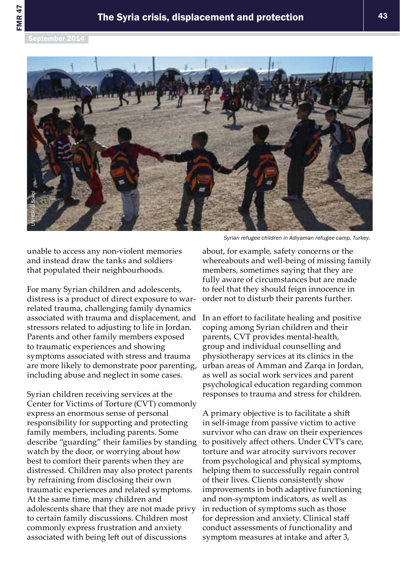

*Syrian refugee children in Adiyaman refugee camp, Turkey.*

unable to access any non-violent memories and instead draw the tanks and soldiers that populated their neighbourhoods.

For many Syrian children and adolescents, distress is a product of direct exposure to warrelated trauma, challenging family dynamics associated with trauma and displacement, and stressors related to adjusting to life in Jordan. Parents and other family members exposed to traumatic experiences and showing symptoms associated with stress and trauma are more likely to demonstrate poor parenting, including abuse and neglect in some cases.

Syrian children receiving services at the Center for Victims of Torture (CVT) commonly express an enormous sense of personal responsibility for supporting and protecting family members, including parents. Some describe "guarding" their families by standing watch by the door, or worrying about how best to comfort their parents when they are distressed. Children may also protect parents by refraining from disclosing their own traumatic experiences and related symptoms. At the same time, many children and adolescents share that they are not made privy to certain family discussions. Children most commonly express frustration and anxiety associated with being left out of discussions

about, for example, safety concerns or the whereabouts and well-being of missing family members, sometimes saying that they are fully aware of circumstances but are made to feel that they should feign innocence in order not to disturb their parents further.

In an effort to facilitate healing and positive coping among Syrian children and their parents, CVT provides mental-health, group and individual counselling and physiotherapy services at its clinics in the urban areas of Amman and Zarqa in Jordan, as well as social work services and parent psychological education regarding common responses to trauma and stress for children.

A primary objective is to facilitate a shift in self-image from passive victim to active survivor who can draw on their experiences to positively affect others. Under CVT's care, torture and war atrocity survivors recover from psychological and physical symptoms, helping them to successfully regain control of their lives. Clients consistently show improvements in both adaptive functioning and non-symptom indicators, as well as in reduction of symptoms such as those for depression and anxiety. Clinical staff conduct assessments of functionality and symptom measures at intake and after 3,